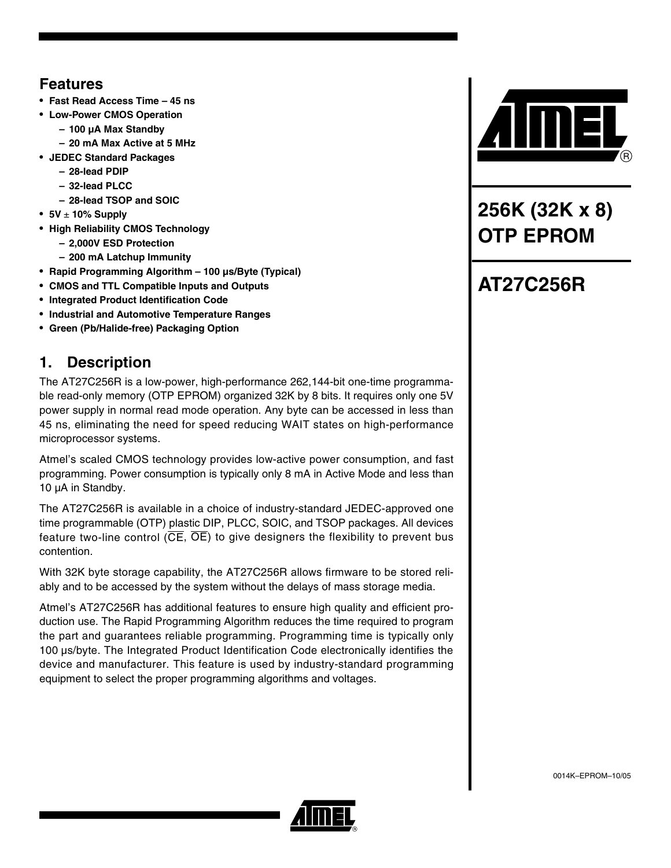## **Features**

- **Fast Read Access Time 45 ns**
- **Low-Power CMOS Operation**
	- **100 µA Max Standby**
- **20 mA Max Active at 5 MHz**
- **JEDEC Standard Packages**
	- **28-lead PDIP**
	- **32-lead PLCC**
	- **28-lead TSOP and SOIC**
- **5V** ± **10% Supply**
- **High Reliability CMOS Technology**
	- **2,000V ESD Protection**
	- **200 mA Latchup Immunity**
- **Rapid Programming Algorithm 100 µs/Byte (Typical)**
- **CMOS and TTL Compatible Inputs and Outputs**
- **Integrated Product Identification Code**
- **Industrial and Automotive Temperature Ranges**
- **Green (Pb/Halide-free) Packaging Option**

## **1. Description**

The AT27C256R is a low-power, high-performance 262,144-bit one-time programmable read-only memory (OTP EPROM) organized 32K by 8 bits. It requires only one 5V power supply in normal read mode operation. Any byte can be accessed in less than 45 ns, eliminating the need for speed reducing WAIT states on high-performance microprocessor systems.

Atmel's scaled CMOS technology provides low-active power consumption, and fast programming. Power consumption is typically only 8 mA in Active Mode and less than 10 µA in Standby.

The AT27C256R is available in a choice of industry-standard JEDEC-approved one time programmable (OTP) plastic DIP, PLCC, SOIC, and TSOP packages. All devices feature two-line control ( $\overline{CE}$ ,  $\overline{OE}$ ) to give designers the flexibility to prevent bus contention.

With 32K byte storage capability, the AT27C256R allows firmware to be stored reliably and to be accessed by the system without the delays of mass storage media.

Atmel's AT27C256R has additional features to ensure high quality and efficient production use. The Rapid Programming Algorithm reduces the time required to program the part and guarantees reliable programming. Programming time is typically only 100 µs/byte. The Integrated Product Identification Code electronically identifies the device and manufacturer. This feature is used by industry-standard programming equipment to select the proper programming algorithms and voltages.



**256K (32K x 8) OTP EPROM**

# **AT27C256R**

0014K–EPROM–10/05

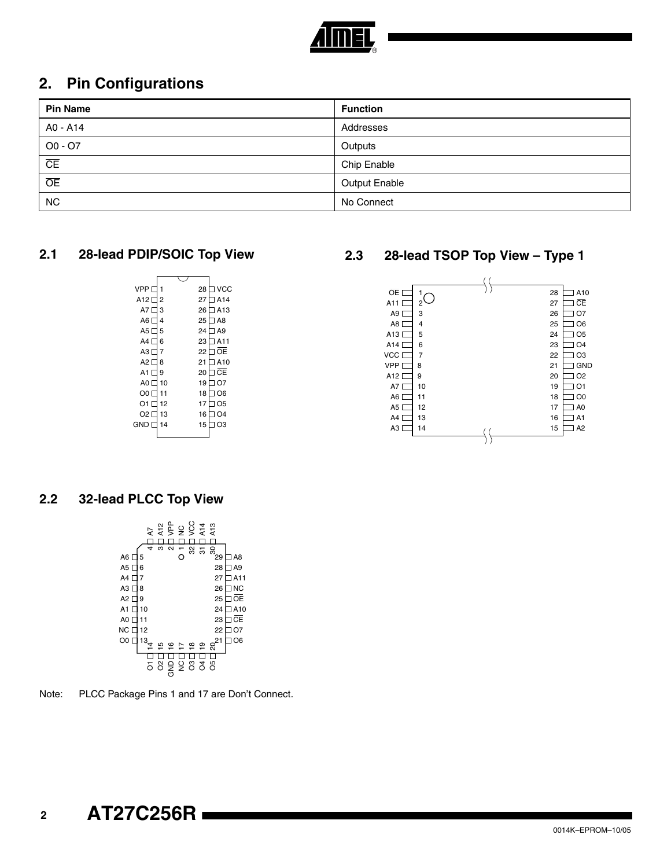

## **2. Pin Configurations**

| <b>Pin Name</b>        | <b>Function</b>      |
|------------------------|----------------------|
| A0 - A14               | Addresses            |
| $OO - O7$              | Outputs              |
| $\overline{\text{CE}}$ | Chip Enable          |
| $\overline{OE}$        | <b>Output Enable</b> |
| <b>NC</b>              | No Connect           |

#### **2.1 28-lead PDIP/SOIC Top View**

| VPP <sub>L</sub>         |    | 28 | l VCC          |
|--------------------------|----|----|----------------|
| A <sub>12</sub> $\Gamma$ | 2  | 27 | <b>TA14</b>    |
| A7 $\Gamma$              | 3  | 26 | $\sqcap$ A13   |
| A6 L                     | 4  | 25 | 7 A 8          |
| A5                       | 5  | 24 | ∃ A9           |
| $AA \Box$                | 6  | 23 | 1 A 1 1        |
| A3 L                     | 7  | 22 | 1 OE           |
| A2 $\Gamma$              | 8  | 21 | 7A10           |
| A1 $\sqcap$              | 9  | 20 | T CE           |
| $AO \Box$                | 10 | 19 | O7             |
| OO L                     | 11 | 18 | O <sub>6</sub> |
| 01 F                     | 12 | 17 | O <sub>5</sub> |
| O2 L                     | 13 | 16 | O <sub>4</sub> |
| $GND$ $\Box$             | 14 | 15 | O <sub>3</sub> |
|                          |    |    |                |

#### **2.3 28-lead TSOP Top View – Type 1**



#### **2.2 32-lead PLCC Top View**

|                 |    | 5  |                 | an<br>Sepang       |   | ΟSΛ                 | A14<br>A13 |          |                |
|-----------------|----|----|-----------------|--------------------|---|---------------------|------------|----------|----------------|
|                 |    | 4  | ო               | $\mathbf{\Omega}$  |   |                     |            |          |                |
| A6 [            | 5  |    |                 |                    |   | 32                  | 5          | 80<br>29 | A8             |
| A5 $\square$    | 6  |    |                 |                    |   |                     |            | 28       | A <sub>9</sub> |
| A4 L            | 7  |    |                 |                    |   |                     |            | 27       | A11            |
| A3 [            | 8  |    |                 |                    |   |                     |            | 26       | <b>NC</b>      |
| A2 $\square$    | 9  |    |                 |                    |   |                     |            | 25       | ŌE             |
| A1<br>I         | 10 |    |                 |                    |   |                     |            | 24       | A10            |
| A0 $\square$    | 11 |    |                 |                    |   |                     |            | 23       | ĈЕ             |
| NC <sub>2</sub> | 12 |    |                 |                    |   |                     |            | 22       | Ο7             |
| O <sub>0</sub>  | 13 |    |                 |                    |   |                     |            | 21       | O <sub>6</sub> |
|                 |    |    |                 | $\overline{\circ}$ | r | $\overline{\infty}$ | ഉ          | ສ        |                |
|                 |    | స్ | $\ddot{\delta}$ |                    |   | 22830               |            |          |                |

Note: PLCC Package Pins 1 and 17 are Don't Connect.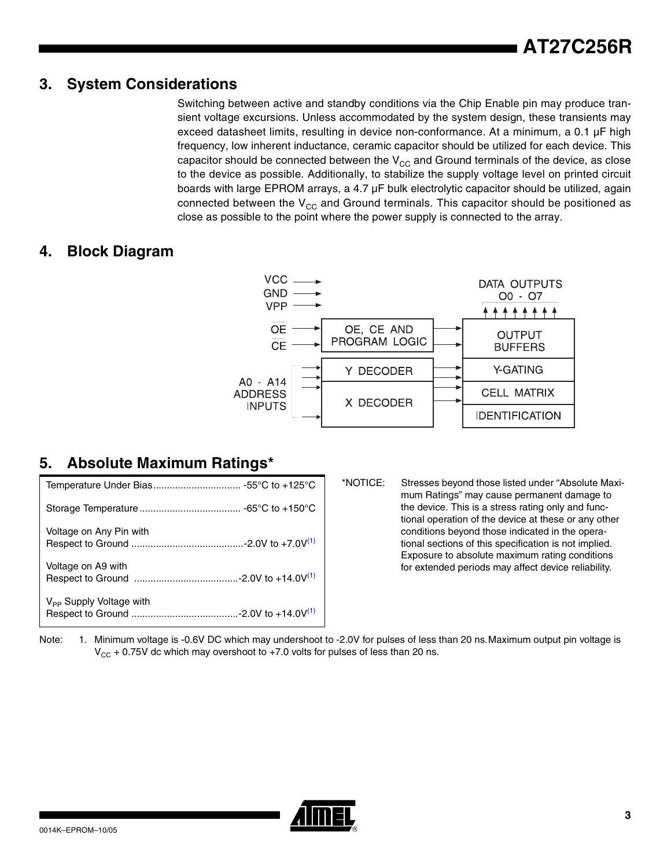#### **3. System Considerations**

Switching between active and standby conditions via the Chip Enable pin may produce transient voltage excursions. Unless accommodated by the system design, these transients may exceed datasheet limits, resulting in device non-conformance. At a minimum, a 0.1 µF high frequency, low inherent inductance, ceramic capacitor should be utilized for each device. This capacitor should be connected between the  $V_{CC}$  and Ground terminals of the device, as close to the device as possible. Additionally, to stabilize the supply voltage level on printed circuit boards with large EPROM arrays, a 4.7 µF bulk electrolytic capacitor should be utilized, again connected between the  $V_{CC}$  and Ground terminals. This capacitor should be positioned as close as possible to the point where the power supply is connected to the array.

#### **4. Block Diagram**



## **5. Absolute Maximum Ratings\***

| Voltage on Any Pin with             |
|-------------------------------------|
| Voltage on A9 with                  |
| $V_{\text{pp}}$ Supply Voltage with |

\*NOTICE: Stresses beyond those listed under "Absolute Maximum Ratings" may cause permanent damage to the device. This is a stress rating only and functional operation of the device at these or any other conditions beyond those indicated in the operational sections of this specification is not implied. Exposure to absolute maximum rating conditions for extended periods may affect device reliability.

<span id="page-2-0"></span>Note: 1. Minimum voltage is -0.6V DC which may undershoot to -2.0V for pulses of less than 20 ns. Maximum output pin voltage is  $V_{CC}$  + 0.75V dc which may overshoot to +7.0 volts for pulses of less than 20 ns.

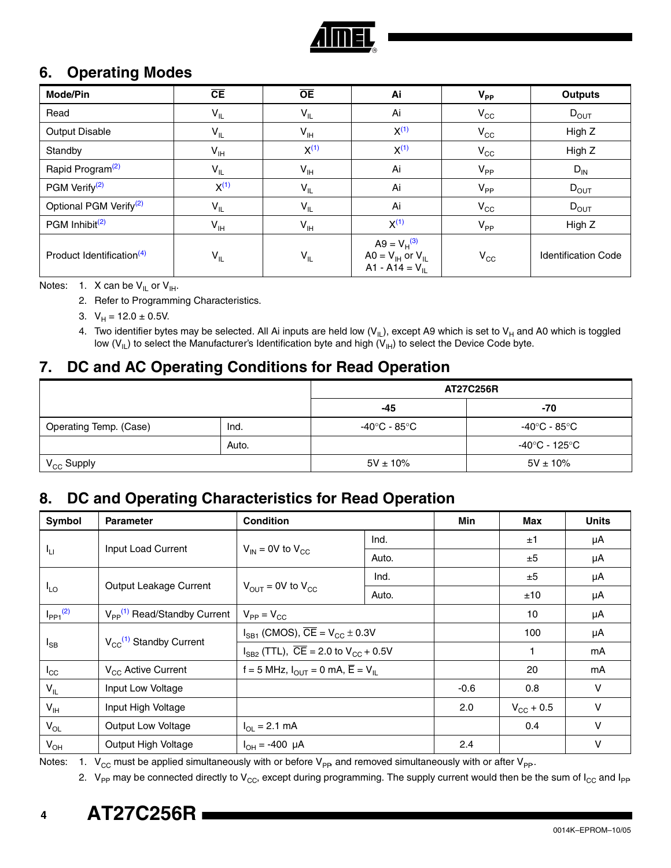

## **6. Operating Modes**

| <b>Mode/Pin</b>                       | CE                         | $\overline{OE}$            | Ai                                                                   | $V_{PP}$     | <b>Outputs</b>             |
|---------------------------------------|----------------------------|----------------------------|----------------------------------------------------------------------|--------------|----------------------------|
| Read                                  | $\mathsf{V}_{\mathsf{IL}}$ | $V_{IL}$                   | Ai                                                                   | $V_{\rm CC}$ | $D_{OUT}$                  |
| Output Disable                        | $V_{IL}$                   | $V_{\text{IH}}$            | $X^{(1)}$                                                            | $V_{\rm CC}$ | High Z                     |
| Standby                               | $V_{IH}$                   | $X^{(1)}$                  | $X^{(1)}$                                                            | $V_{\rm CC}$ | High Z                     |
| Rapid Program <sup>(2)</sup>          | $V_{IL}$                   | $V_{IH}$                   | Ai                                                                   | $V_{PP}$     | $D_{IN}$                   |
| PGM Verify <sup>(2)</sup>             | $X^{(1)}$                  | $V_{IL}$                   | Ai                                                                   | $V_{PP}$     | $D_{OUT}$                  |
| Optional PGM Verify <sup>(2)</sup>    | $V_{IL}$                   | $\mathsf{V}_{\mathsf{IL}}$ | Ai                                                                   | $V_{\rm CC}$ | $D_{OUT}$                  |
| PGM Inhibit <sup>(2)</sup>            | $V_{IH}$                   | $V_{\text{IH}}$            | $X^{(1)}$                                                            | $V_{PP}$     | High Z                     |
| Product Identification <sup>(4)</sup> | $V_{IL}$                   | $V_{IL}$                   | $A9 = V_H^{(3)}$<br>$AO = V_{IH}$ or $V_{IL}$<br>A1 - A14 = $V_{II}$ | $V_{\rm CC}$ | <b>Identification Code</b> |

<span id="page-3-3"></span><span id="page-3-1"></span><span id="page-3-0"></span>Notes: 1. X can be  $V_{IL}$  or  $V_{IH}$ .

2. Refer to Programming Characteristics.

- 3.  $V_H = 12.0 \pm 0.5V$ .
- 4. Two identifier bytes may be selected. All Ai inputs are held low  $(V_{|L})$ , except A9 which is set to  $V_H$  and A0 which is toggled low ( $V_{|L}$ ) to select the Manufacturer's Identification byte and high ( $V_{|H}$ ) to select the Device Code byte.

## <span id="page-3-2"></span>**7. DC and AC Operating Conditions for Read Operation**

|                        |       |               | <b>AT27C256R</b> |
|------------------------|-------|---------------|------------------|
|                        |       | -45           | -70              |
| Operating Temp. (Case) | Ind.  | -40°C - 85°C  | -40°C - 85°C     |
|                        | Auto. |               | -40°C - 125°C    |
| $V_{CC}$ Supply        |       | $5V \pm 10\%$ | $5V \pm 10\%$    |

#### **8. DC and Operating Characteristics for Read Operation**

| Symbol                   | <b>Parameter</b>                             | <b>Condition</b>                                                     |       | Min    | Max            | <b>Units</b> |
|--------------------------|----------------------------------------------|----------------------------------------------------------------------|-------|--------|----------------|--------------|
|                          |                                              |                                                                      | Ind.  |        | ±1             | μA           |
| ŀμ                       | Input Load Current                           | $V_{IN}$ = 0V to $V_{CC}$                                            | Auto. |        | ±5             | μA           |
|                          |                                              |                                                                      | Ind.  |        | ±5             | μA           |
| $I_{LO}$                 | Output Leakage Current                       | $V_{OUT}$ = 0V to $V_{CC}$                                           | Auto. |        | ±10            | μA           |
| $I_{PP1}$ <sup>(2)</sup> | $V_{PP}$ <sup>(1)</sup> Read/Standby Current | $V_{PP} = V_{CC}$                                                    |       |        | 10             | μA           |
|                          |                                              | $I_{SB1}$ (CMOS), $\overline{CE} = V_{CC} \pm 0.3V$                  |       |        | 100            | μA           |
| $I_{SB}$                 | $V_{CC}^{(1)}$ Standby Current               | $I_{SB2}$ (TTL), $\overline{CE}$ = 2.0 to $V_{CC}$ + 0.5V            |       | 1      | mA             |              |
| $I_{\rm CC}$             | V <sub>CC</sub> Active Current               | f = 5 MHz, $I_{\text{OUT}}$ = 0 mA, $\overline{E}$ = V <sub>IL</sub> |       |        | 20             | mA           |
| $V_{IL}$                 | Input Low Voltage                            |                                                                      |       | $-0.6$ | 0.8            | $\vee$       |
| $V_{\text{IH}}$          | Input High Voltage                           |                                                                      |       | 2.0    | $V_{CG}$ + 0.5 | $\vee$       |
| $V_{OL}$                 | Output Low Voltage                           | $I_{\text{OI}} = 2.1 \text{ mA}$                                     |       |        | 0.4            | $\vee$       |
| $V_{OH}$                 | Output High Voltage                          | $I_{OH} = -400 \mu A$                                                |       | 2.4    |                | ۷            |

<span id="page-3-5"></span><span id="page-3-4"></span>Notes: 1.  $V_{CC}$  must be applied simultaneously with or before  $V_{PP}$ , and removed simultaneously with or after  $V_{PP}$ .

2. V<sub>PP</sub> may be connected directly to V<sub>CC</sub>, except during programming. The supply current would then be the sum of I<sub>CC</sub> and I<sub>PP</sub>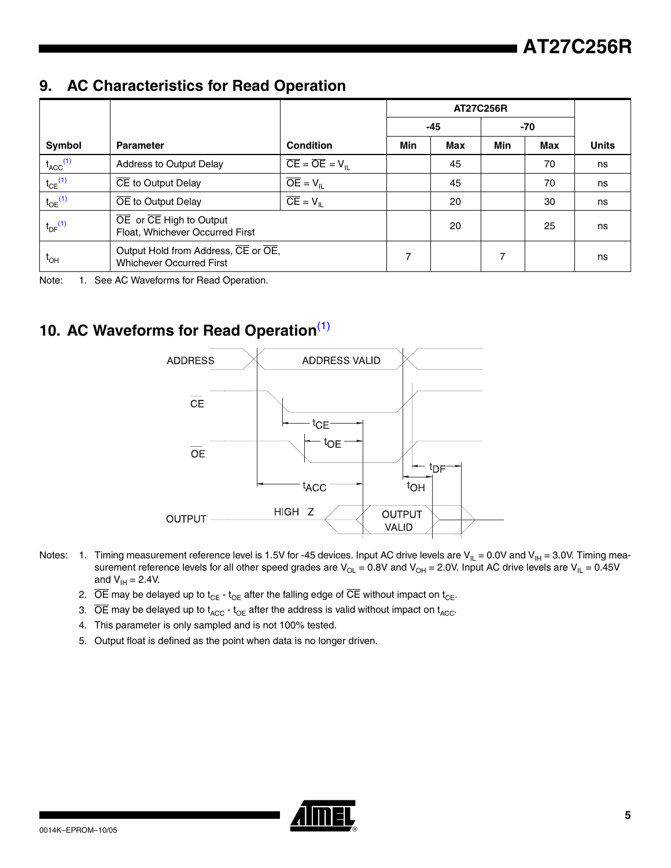#### $9.$ **9. AC Characteristics for Read Operation**

|                          |                                                                        |                                                 |     | <b>AT27C256R</b> |     |     |              |
|--------------------------|------------------------------------------------------------------------|-------------------------------------------------|-----|------------------|-----|-----|--------------|
|                          |                                                                        |                                                 |     | $-45$            |     | -70 |              |
| Symbol                   | <b>Parameter</b>                                                       | <b>Condition</b>                                | Min | <b>Max</b>       | Min | Max | <b>Units</b> |
| $t_{ACC}$ <sup>(1)</sup> | Address to Output Delay                                                | $\overline{CE} = \overline{OE} = V_{\text{II}}$ |     | 45               |     | 70  | ns           |
| $t_{CE}$ <sup>(1)</sup>  | CE to Output Delay                                                     | $\overline{OE} = V_{\parallel}$                 |     | 45               |     | 70  | ns           |
| $t_{OE}$ <sup>(1)</sup>  | OE to Output Delay                                                     | $\overline{CE} = V_{\parallel}$                 |     | 20               |     | 30  | ns           |
| $t_{DF}$ <sup>(1)</sup>  | OE or CE High to Output<br>Float, Whichever Occurred First             |                                                 |     | 20               |     | 25  | ns           |
| $t_{\text{OH}}$          | Output Hold from Address, CE or OE,<br><b>Whichever Occurred First</b> |                                                 | 7   |                  |     |     | ns           |

<span id="page-4-0"></span>Note: 1. See AC Waveforms for Read Operation.

# **10. AC Waveforms for Read Operation**[\(1\)](#page-4-1)



- <span id="page-4-1"></span>Notes:  $\:$  1.  $\:$  Timing measurement reference level is 1.5V for -45 devices. Input AC drive levels are V $_{\rm IL}$  = 0.0V and V $_{\rm IH}$  = 3.0V. Timing measurement reference levels for all other speed grades are V<sub>OL</sub> = 0.8V and V<sub>OH</sub> = 2.0V. Input AC drive levels are V<sub>IL</sub> = 0.45V and  $V_{\text{IH}} = 2.4V$ .
	- 2.  $\overline{OE}$  may be delayed up to t<sub>CE</sub> t<sub>OE</sub> after the falling edge of  $\overline{CE}$  without impact on t<sub>CE</sub>.
	- 3.  $\overline{OE}$  may be delayed up to  $t_{ACC} t_{OE}$  after the address is valid without impact on  $t_{ACC}$ .
	- 4. This parameter is only sampled and is not 100% tested.
	- 5. Output float is defined as the point when data is no longer driven.

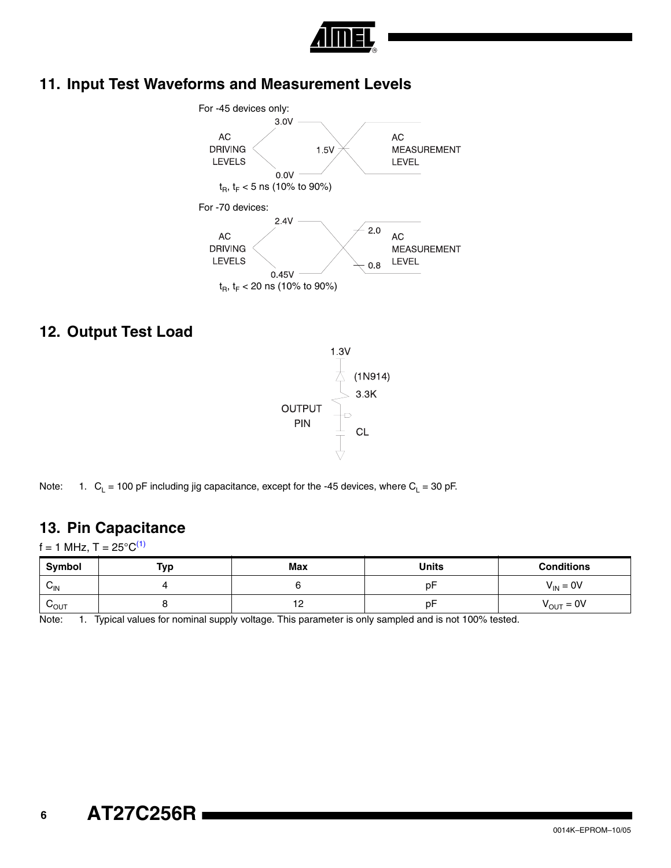

# **11. Input Test Waveforms and Measurement Levels**



#### **12. Output Test Load**



Note: 1.  $C_L = 100 \text{ pF}$  including jig capacitance, except for the -45 devices, where  $C_L = 30 \text{ pF}$ .

#### **13. Pin Capacitance**

 $f = 1$  MHz, T =  $25^{\circ}C^{(1)}$  $25^{\circ}C^{(1)}$  $25^{\circ}C^{(1)}$ 

| Symbol                    | Typ | <b>Max</b>                    | <b>Units</b> | <b>Conditions</b>     |
|---------------------------|-----|-------------------------------|--------------|-----------------------|
| $\sim$<br>$V_{\text{IN}}$ |     |                               | D٣           | $V_{IN} = 0V$         |
| ⌒<br>$v_{\text{OUT}}$     |     | $\overline{10}$<br>. <u>.</u> | p۲           | $V_{\text{OUT}} = 0V$ |

<span id="page-5-0"></span>Note: 1. Typical values for nominal supply voltage. This parameter is only sampled and is not 100% tested.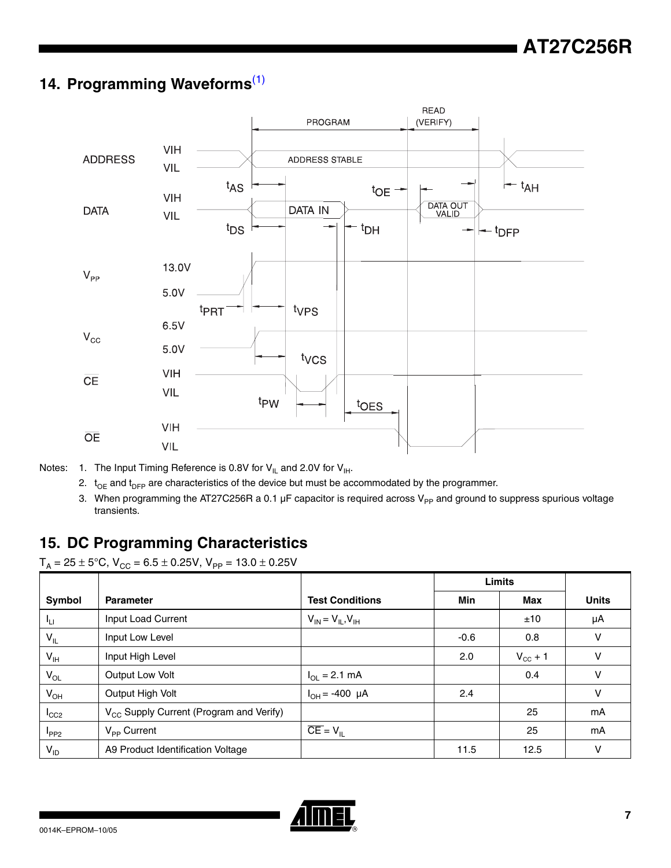# **14. Programming Waveforms**[\(1\)](#page-6-0)



- <span id="page-6-0"></span>Notes: 1. The Input Timing Reference is 0.8V for  $V_{IL}$  and 2.0V for  $V_{IH}$ .
	- 2.  $t_{OE}$  and  $t_{DFP}$  are characteristics of the device but must be accommodated by the programmer.
	- 3. When programming the AT27C256R a 0.1  $\mu$ F capacitor is required across V<sub>PP</sub> and ground to suppress spurious voltage transients.

## **15. DC Programming Characteristics**

 $T_A = 25 \pm 5^{\circ}$ C, V<sub>CC</sub> = 6.5  $\pm$  0.25V, V<sub>PP</sub> = 13.0  $\pm$  0.25V

|                 |                                                     |                                  | <b>Limits</b> |                     |              |
|-----------------|-----------------------------------------------------|----------------------------------|---------------|---------------------|--------------|
| Symbol          | <b>Parameter</b>                                    | <b>Test Conditions</b>           | Min           | Max                 | <b>Units</b> |
| Чu              | Input Load Current                                  | $V_{IN} = V_{IL}$ , $V_{IH}$     |               | ±10                 | μA           |
| $V_{IL}$        | Input Low Level                                     |                                  | $-0.6$        | 0.8                 | V            |
| $V_{\text{IH}}$ | Input High Level                                    |                                  | 2.0           | $V_{\text{cc}} + 1$ | ν            |
| $V_{OL}$        | <b>Output Low Volt</b>                              | $I_{\text{OI}} = 2.1 \text{ mA}$ |               | 0.4                 | $\vee$       |
| $V_{OH}$        | Output High Volt                                    | $I_{OH} = -400 \mu A$            | 2.4           |                     | v            |
| $I_{CC2}$       | V <sub>CC</sub> Supply Current (Program and Verify) |                                  |               | 25                  | mA           |
| $I_{PP2}$       | $V_{\text{PP}}$ Current                             | $\overline{CE} = V_{\parallel}$  |               | 25                  | mA           |
| $V_{ID}$        | A9 Product Identification Voltage                   |                                  | 11.5          | 12.5                | V            |

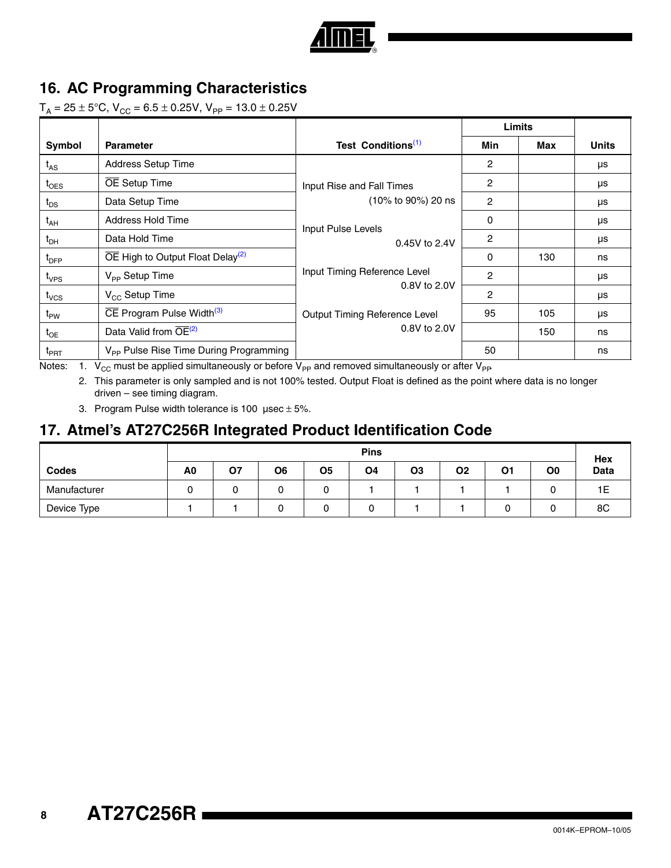

## **16. AC Programming Characteristics**

 $T_A = 25 \pm 5^{\circ}$ C, V<sub>CC</sub> = 6.5  $\pm$  0.25V, V<sub>PP</sub> = 13.0  $\pm$  0.25V

| Symbol           | <b>Parameter</b>                                          | Test Conditions <sup>(1)</sup> | Min            | Max | <b>Units</b> |
|------------------|-----------------------------------------------------------|--------------------------------|----------------|-----|--------------|
| $t_{AS}$         | Address Setup Time                                        |                                | 2              |     | μs           |
| $t_{\text{OES}}$ | <b>OE</b> Setup Time                                      | Input Rise and Fall Times      | $\overline{c}$ |     | μs           |
| $t_{DS}$         | Data Setup Time                                           | (10% to 90%) 20 ns             | 2              |     | μs           |
| $t_{AH}$         | Address Hold Time                                         | Input Pulse Levels             | 0              |     | μs           |
| $t_{\text{DH}}$  | Data Hold Time                                            | 0.45V to 2.4V                  | 2              |     | μs           |
| $t_{\text{DFP}}$ | $\overline{OE}$ High to Output Float Delay <sup>(2)</sup> |                                | 0              | 130 | ns           |
| $t_{VPS}$        | V <sub>PP</sub> Setup Time                                | Input Timing Reference Level   | 2              |     | μs           |
| $t_{VCS}$        | $V_{CC}$ Setup Time                                       | 0.8V to 2.0V                   | $\overline{c}$ |     | μs           |
| $t_{PW}$         | $\overline{CE}$ Program Pulse Width <sup>(3)</sup>        | Output Timing Reference Level  | 95             | 105 | μs           |
| $t_{OE}$         | Data Valid from OE <sup>(2)</sup>                         | 0.8V to 2.0V                   |                | 150 | ns           |
| $t_{\sf PRT}$    | V <sub>PP</sub> Pulse Rise Time During Programming<br>.   |                                | 50             |     | ns           |

<span id="page-7-1"></span><span id="page-7-0"></span>Notes: 1.  $V_{CC}$  must be applied simultaneously or before  $V_{PP}$  and removed simultaneously or after  $V_{PP}$ .

2. This parameter is only sampled and is not 100% tested. Output Float is defined as the point where data is no longer driven – see timing diagram.

3. Program Pulse width tolerance is 100  $\mu$ sec  $\pm$  5%.

## <span id="page-7-2"></span>**17. Atmel's AT27C256R Integrated Product Identification Code**

|              |    | <b>Pins</b> |    |        |    |                |    |    | Hex |             |
|--------------|----|-------------|----|--------|----|----------------|----|----|-----|-------------|
| <b>Codes</b> | A0 | Ο7          | O6 | Ο5     | O4 | O <sub>3</sub> | Ο2 | 01 | O0  | <b>Data</b> |
| Manufacturer |    |             | v  | ∽<br>u |    |                |    |    |     | ᄕ           |
| Device Type  |    |             | ື  | ີ      |    |                |    |    |     | 8C          |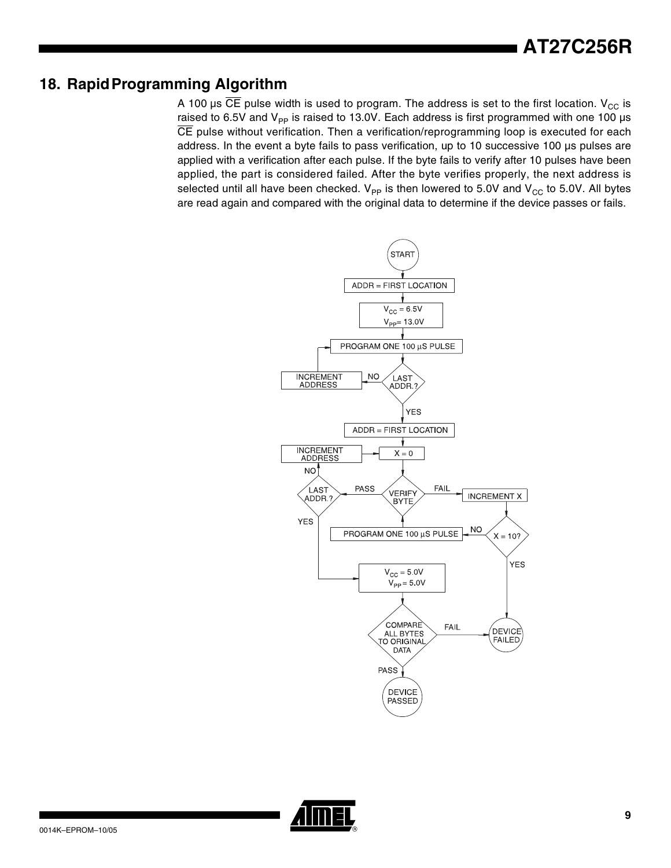## **18. RapidProgramming Algorithm**

A 100 µs  $\overline{CE}$  pulse width is used to program. The address is set to the first location. V<sub>CC</sub> is raised to 6.5V and  $V_{\text{PP}}$  is raised to 13.0V. Each address is first programmed with one 100 µs CE pulse without verification. Then a verification/reprogramming loop is executed for each address. In the event a byte fails to pass verification, up to 10 successive 100 µs pulses are applied with a verification after each pulse. If the byte fails to verify after 10 pulses have been applied, the part is considered failed. After the byte verifies properly, the next address is selected until all have been checked.  $V_{PP}$  is then lowered to 5.0V and  $V_{CC}$  to 5.0V. All bytes are read again and compared with the original data to determine if the device passes or fails.



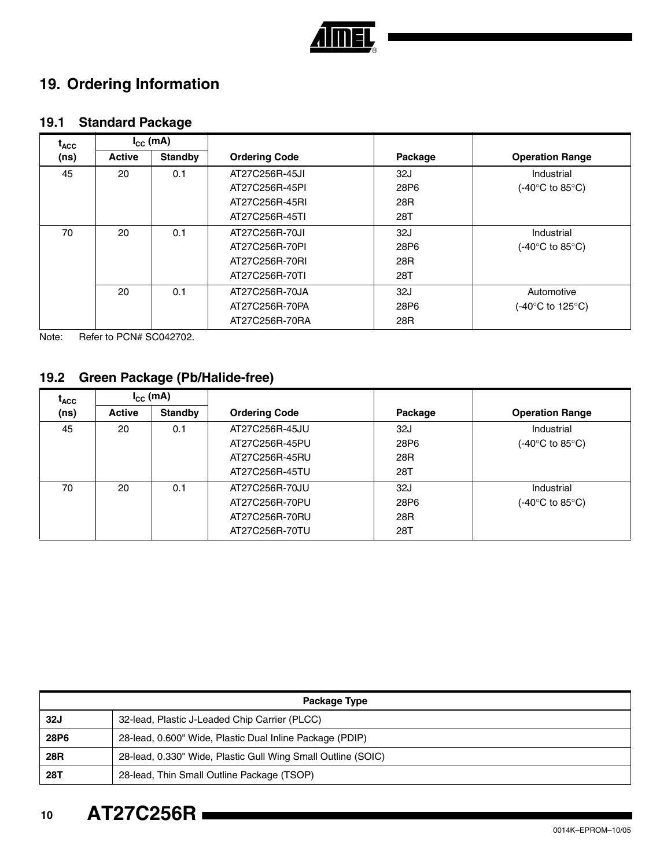

# **19. Ordering Information**

## **19.1 Standard Package**

| <sup>I</sup> ACC<br>(ns) | $I_{\rm cc}$ (mA) |                |                      |                  |                        |
|--------------------------|-------------------|----------------|----------------------|------------------|------------------------|
|                          | <b>Active</b>     | <b>Standby</b> | <b>Ordering Code</b> | Package          | <b>Operation Range</b> |
| 45                       | 20                | 0.1            | AT27C256R-45JI       | 32J              | Industrial             |
|                          |                   |                | AT27C256R-45PI       | 28P <sub>6</sub> | (-40°C to 85°C)        |
|                          |                   |                | AT27C256R-45RI       | 28R              |                        |
|                          |                   |                | AT27C256R-45TI       | 28T              |                        |
| 70                       | 20                | 0.1            | AT27C256R-70JI       | 32J              | Industrial             |
|                          |                   |                | AT27C256R-70PI       | 28P <sub>6</sub> | (-40°C to 85°C).       |
|                          |                   |                | AT27C256R-70RI       | 28R              |                        |
|                          |                   |                | AT27C256R-70TI       | 28T              |                        |
|                          | 20                | 0.1            | AT27C256R-70JA       | 32J              | Automotive             |
|                          |                   |                | AT27C256R-70PA       | 28P <sub>6</sub> | (-40°C to 125°C)       |
|                          |                   |                | AT27C256R-70RA       | 28R              |                        |

Note: Refer to PCN# SC042702.

## **19.2 Green Package (Pb/Halide-free)**

| $\mathbf{I}_{\text{ACC}}$ | $I_{\rm CC}$ (mA) |                |                      |         |                        |
|---------------------------|-------------------|----------------|----------------------|---------|------------------------|
| (ns)                      | <b>Active</b>     | <b>Standby</b> | <b>Ordering Code</b> | Package | <b>Operation Range</b> |
| 45                        | 20                | 0.1            | AT27C256R-45JU       | 32J     | Industrial             |
|                           |                   |                | AT27C256R-45PU       | 28P6    | (-40°C to 85°C).       |
|                           |                   |                | AT27C256R-45RU       | 28R     |                        |
|                           |                   |                | AT27C256R-45TU       | 28T     |                        |
| 70                        | 20                | 0.1            | AT27C256R-70JU       | 32J     | Industrial             |
|                           |                   |                | AT27C256R-70PU       | 28P6    | (-40°C to 85°C).       |
|                           |                   |                | AT27C256R-70RU       | 28R     |                        |
|                           |                   |                | AT27C256R-70TU       | 28T     |                        |

| Package Type     |                                                              |  |  |  |
|------------------|--------------------------------------------------------------|--|--|--|
| <b>32J</b>       | 32-lead, Plastic J-Leaded Chip Carrier (PLCC)                |  |  |  |
| 28P <sub>6</sub> | 28-lead, 0.600" Wide, Plastic Dual Inline Package (PDIP)     |  |  |  |
| 28R              | 28-lead, 0.330" Wide, Plastic Gull Wing Small Outline (SOIC) |  |  |  |
| 28T              | 28-lead, Thin Small Outline Package (TSOP)                   |  |  |  |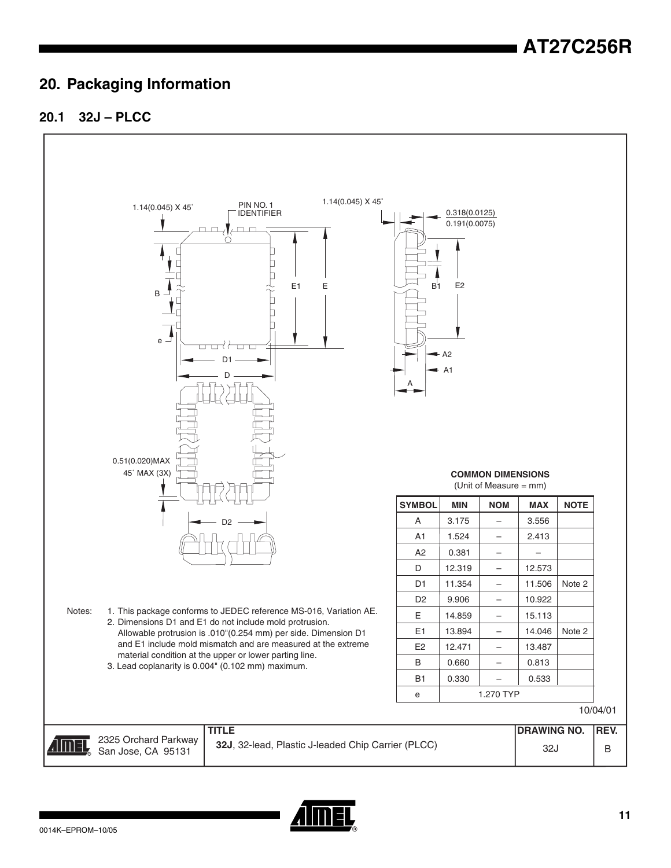## **20. Packaging Information**





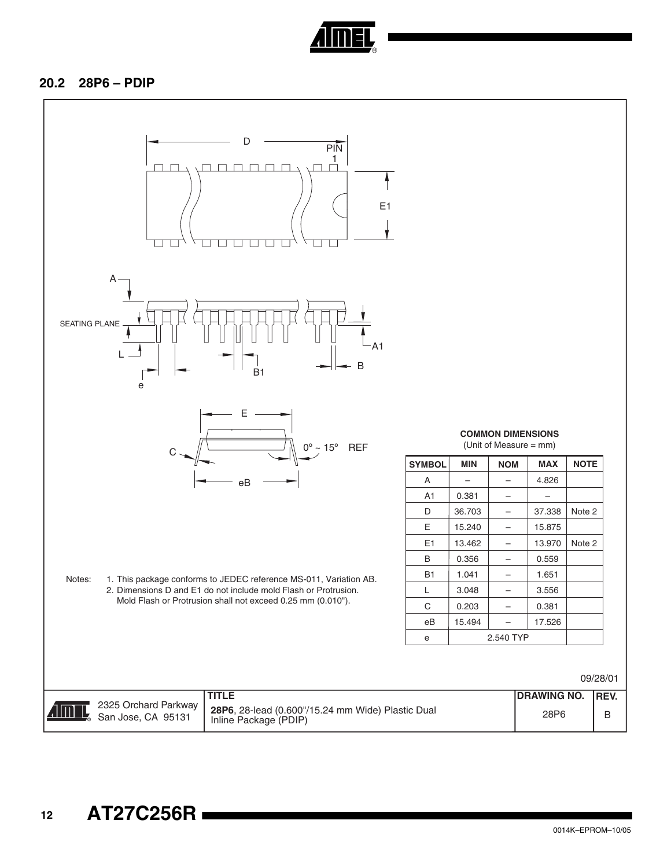

#### **20.2 28P6 – PDIP**

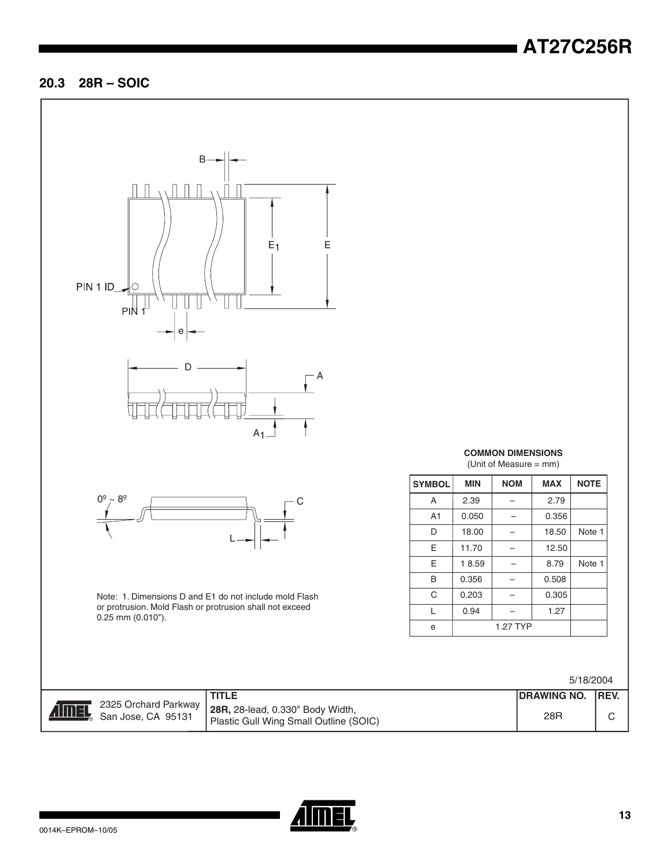# **AT27C256R**

#### **20.3 28R – SOIC**



**Aimel** 

 2325 Orchard Parkway San Jose, CA 95131

**TITLE DRAWING NO. 28R,** 28-lead, 0.330" Body Width, Plastic Gull Wing Small Outline (SOIC) 28<br>Plastic Gull Wing Small Outline (SOIC)



 $A$  2.39 - 2.79  $A1 \mid 0.050 \mid - \mid 0.356$ 

E | 11.70  $-$  | 12.50

 $\begin{array}{|c|c|c|c|c|c|c|c|} \hline \text{B} & \text{0.356} & - & 0.508 \hline \end{array}$  $C \begin{array}{|c|c|c|c|c|} \hline \multicolumn{1}{|c|}{0.203} & \multicolumn{1}{|c|}{-} & 0.305 \\\hline \end{array}$ L  $\begin{vmatrix} 0.94 \end{vmatrix}$  – 1.27

e 1.27 TYP

D | 18.00 | – | 18.50 | Note 1

**COMMON DIMENSIONS** (Unit of Measure = mm) **SYMBOL MIN NOM MAX NOTE**

 $E$  | 18.59 | - | 8.79 | Note 1

| ING NO. | REV. |
|---------|------|
| 8R      | C.   |

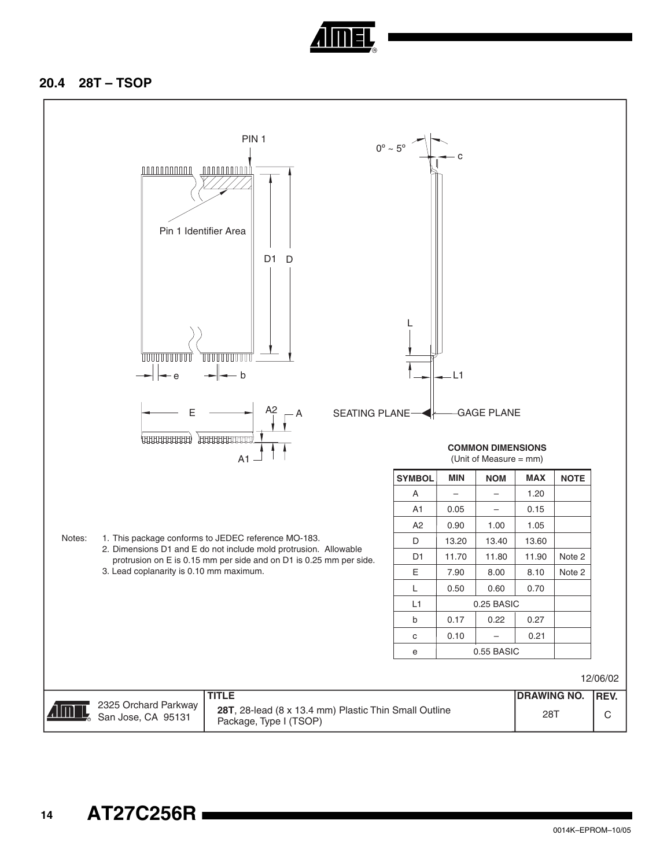

#### **20.4 28T – TSOP**